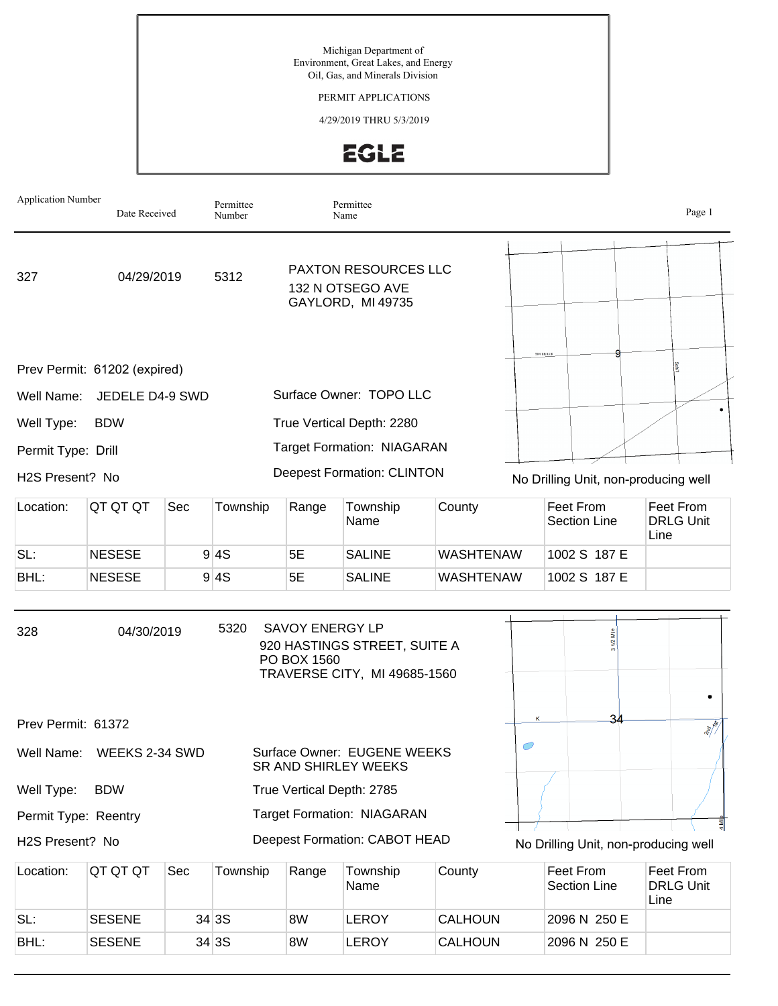## PERMIT APPLICATIONS

## 4/29/2019 THRU 5/3/2019



| <b>Application Number</b> | Date Received                |     | Permittee<br>Number |                                                               | Permittee<br>Name                                            |                  |  |                                      |      | Page 1                        |
|---------------------------|------------------------------|-----|---------------------|---------------------------------------------------------------|--------------------------------------------------------------|------------------|--|--------------------------------------|------|-------------------------------|
| 327                       | 04/29/2019                   |     | 5312                | PAXTON RESOURCES LLC<br>132 N OTSEGO AVE<br>GAYLORD, MI 49735 |                                                              |                  |  |                                      |      |                               |
|                           | Prev Permit: 61202 (expired) |     |                     |                                                               |                                                              |                  |  | TO 4 SROSE                           |      |                               |
| Well Name:                | JEDELE D4-9 SWD              |     |                     |                                                               | Surface Owner: TOPO LLC                                      |                  |  |                                      |      |                               |
| Well Type:                | <b>BDW</b>                   |     |                     |                                                               | True Vertical Depth: 2280                                    |                  |  |                                      |      |                               |
| Permit Type: Drill        |                              |     |                     |                                                               | <b>Target Formation: NIAGARAN</b>                            |                  |  |                                      |      |                               |
| H2S Present? No           |                              |     |                     |                                                               | <b>Deepest Formation: CLINTON</b>                            |                  |  | No Drilling Unit, non-producing well |      |                               |
| Location:                 | QT QT QT                     | Sec | Township            | Range                                                         | Township<br>Name                                             | County           |  | Feet From<br>Section Line            | Line | Feet From<br><b>DRLG Unit</b> |
| SL:                       | <b>NESESE</b>                |     | 9 4S                | 5E                                                            | <b>SALINE</b>                                                | <b>WASHTENAW</b> |  | 1002 S 187 E                         |      |                               |
| BHL:                      | <b>NESESE</b>                |     | 9 4S                | 5E                                                            | <b>SALINE</b>                                                | <b>WASHTENAW</b> |  | 1002 S 187 E                         |      |                               |
| 328                       | 04/30/2019                   |     | 5320                | <b>SAVOY ENERGY LP</b><br>PO BOX 1560                         | 920 HASTINGS STREET, SUITE A<br>TRAVERSE CITY, MI 49685-1560 |                  |  | $31/2$ Mile                          |      |                               |
| Prev Permit: 61372        |                              |     |                     |                                                               |                                                              |                  |  | 34                                   |      | <b>RICHTER</b>                |
| Well Name:                | WEEKS 2-34 SWD               |     |                     |                                                               | Surface Owner: EUGENE WEEKS<br>SR AND SHIRLEY WEEKS          |                  |  |                                      |      |                               |
| Well Type:                | <b>BDW</b>                   |     |                     |                                                               | True Vertical Depth: 2785                                    |                  |  |                                      |      |                               |
| Permit Type: Reentry      |                              |     |                     |                                                               | <b>Target Formation: NIAGARAN</b>                            |                  |  |                                      |      | $4$ Mil                       |
| H2S Present? No           |                              |     |                     |                                                               | Deepest Formation: CABOT HEAD                                |                  |  | No Drilling Unit, non-producing well |      |                               |
| Location:                 | QT QT QT                     | Sec | Township            | Range                                                         | Township<br>Name                                             | County           |  | Feet From<br><b>Section Line</b>     | Line | Feet From<br><b>DRLG Unit</b> |

|      |               |        | ັ  | Name  |                | Section Line | DRLG Unit<br>Line |
|------|---------------|--------|----|-------|----------------|--------------|-------------------|
| SL:  | <b>SESENE</b> | 34 3 S | 8W | EROY_ | <b>CALHOUN</b> | 2096 N 250 E |                   |
| BHL: | <b>SESENE</b> | 34 3S  | 8W | EROY. | <b>CALHOUN</b> | 2096 N 250 E |                   |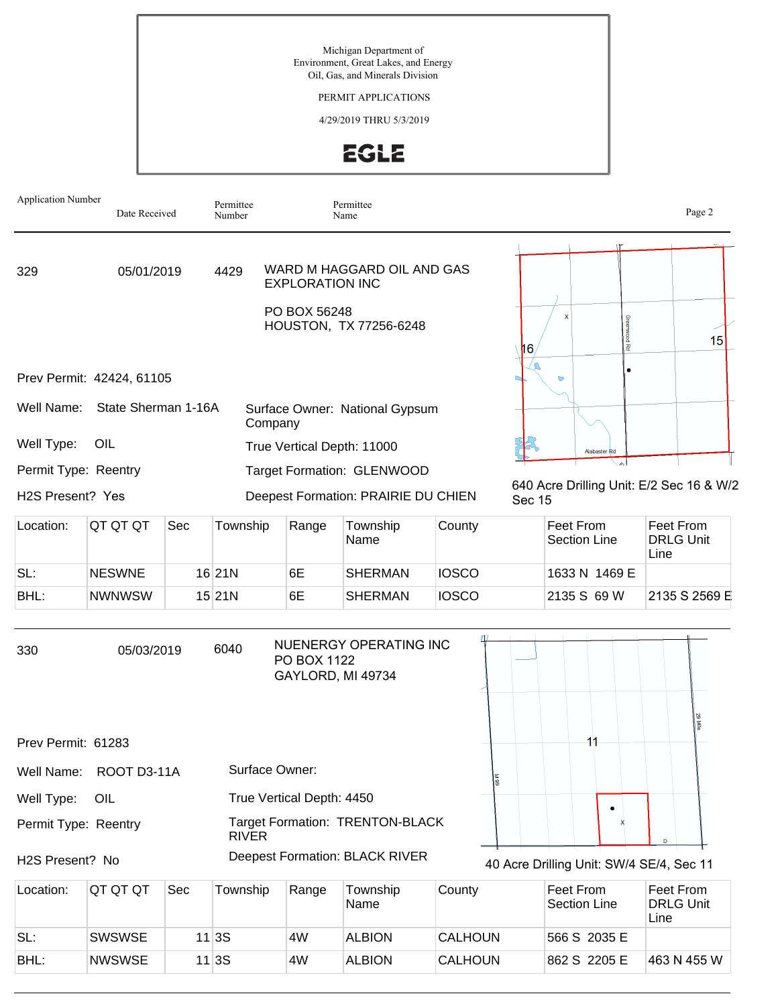## PERMIT APPLICATIONS

### 4/29/2019 THRU 5/3/2019



| <b>Application Number</b> | Date Received                                    |     | Permittee<br>Number       |                                        | Permittee<br>Name                                    |              |               |                                          | Page 2                                   |
|---------------------------|--------------------------------------------------|-----|---------------------------|----------------------------------------|------------------------------------------------------|--------------|---------------|------------------------------------------|------------------------------------------|
| 329                       | 05/01/2019                                       |     | 4429                      | <b>EXPLORATION INC</b><br>PO BOX 56248 | WARD M HAGGARD OIL AND GAS<br>HOUSTON, TX 77256-6248 |              |               |                                          |                                          |
| Well Name:                | Prev Permit: 42424, 61105<br>State Sherman 1-16A |     | Company                   |                                        | Surface Owner: National Gypsum                       |              | 116.          | I장                                       | 15                                       |
| Well Type:                | OIL                                              |     |                           |                                        | True Vertical Depth: 11000                           |              |               | Alabaster Rd                             |                                          |
| Permit Type: Reentry      |                                                  |     |                           |                                        | Target Formation: GLENWOOD                           |              |               | الم                                      |                                          |
| H2S Present? Yes          |                                                  |     |                           |                                        | Deepest Formation: PRAIRIE DU CHIEN                  |              | <b>Sec 15</b> |                                          | 640 Acre Drilling Unit: E/2 Sec 16 & W/2 |
| Location:                 | QT QT QT                                         | Sec | Township                  | Range                                  | Township<br>Name                                     | County       |               | Feet From<br><b>Section Line</b>         | Feet From<br><b>DRLG Unit</b><br>Line    |
| SL:                       | <b>NESWNE</b>                                    |     | $16$  21N                 | 6E                                     | <b>SHERMAN</b>                                       | <b>IOSCO</b> |               | 1633 N 1469 E                            |                                          |
| BHL:                      | <b>NWNWSW</b>                                    |     | 15 21N                    | 6E                                     | <b>SHERMAN</b>                                       | <b>IOSCO</b> |               | 2135 S 69 W                              | 2135 S 2569 E                            |
| 330                       | 05/03/2019                                       |     | 6040                      | PO BOX 1122                            | NUENERGY OPERATING INC<br>GAYLORD, MI 49734          |              |               |                                          | Į                                        |
| Prev Permit: 61283        |                                                  |     |                           |                                        |                                                      |              |               | 11                                       |                                          |
| Well Name:                | ROOT D3-11A                                      |     | Surface Owner:            |                                        |                                                      | 66 W         |               |                                          |                                          |
| Well Type:                | OIL                                              |     | True Vertical Depth: 4450 |                                        |                                                      |              |               | ٠                                        |                                          |
| Permit Type: Reentry      |                                                  |     | <b>RIVER</b>              |                                        | Target Formation: TRENTON-BLACK                      |              |               |                                          | D                                        |
| H2S Present? No           |                                                  |     |                           |                                        | Deepest Formation: BLACK RIVER                       |              |               | 40 Acre Drilling Unit: SW/4 SE/4, Sec 11 |                                          |
| Location:                 | QT QT QT                                         | Sec | Township                  | Range                                  | Township<br>Name                                     | County       |               | Feet From<br>Section Line                | Feet From<br><b>DRLG Unit</b>            |

| Location: | IQT QT QT     | Sec | Township | Range | Township<br>Name | County         | Feet From<br>Section Line | Feet From<br><b>DRLG Unit</b><br>Line |
|-----------|---------------|-----|----------|-------|------------------|----------------|---------------------------|---------------------------------------|
| SL:       | <b>SWSWSE</b> |     | 11 3S    | 4W    | ALBION           | <b>CALHOUN</b> | 566 S 2035 E              |                                       |
| BHL:      | <b>NWSWSE</b> |     | 11 3S    | 4W    | <b>ALBION</b>    | <b>CALHOUN</b> | 862 S 2205 E              | 1463 N 455 W                          |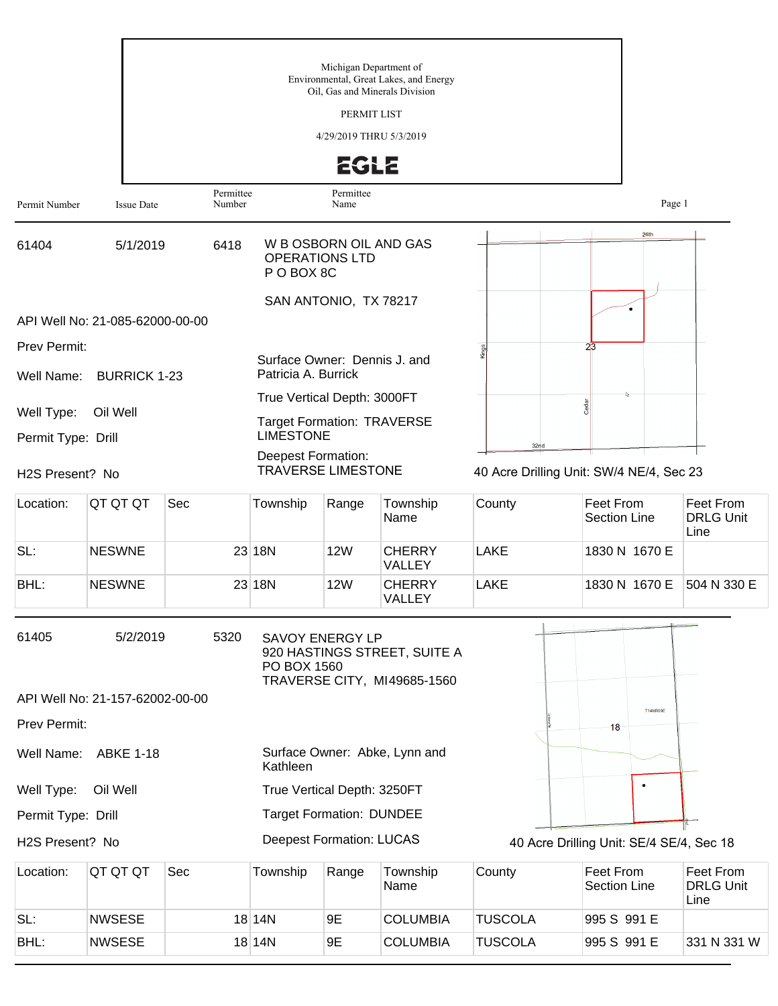|                                  |                                 |                     |                                                        | Michigan Department of  | Environmental, Great Lakes, and Energy<br>Oil, Gas and Minerals Division |                                                  |                                          |                                       |
|----------------------------------|---------------------------------|---------------------|--------------------------------------------------------|-------------------------|--------------------------------------------------------------------------|--------------------------------------------------|------------------------------------------|---------------------------------------|
|                                  |                                 |                     |                                                        | PERMIT LIST             |                                                                          |                                                  |                                          |                                       |
|                                  |                                 |                     |                                                        | 4/29/2019 THRU 5/3/2019 |                                                                          |                                                  |                                          |                                       |
|                                  |                                 |                     |                                                        | <b>EGLE</b>             |                                                                          |                                                  |                                          |                                       |
| Permit Number                    | <b>Issue Date</b>               | Permittee<br>Number |                                                        | Permittee<br>Name       |                                                                          |                                                  | Page 1                                   |                                       |
| 61404                            | 5/1/2019                        | 6418                | <b>OPERATIONS LTD</b><br>P O BOX 8C                    | W B OSBORN OIL AND GAS  |                                                                          |                                                  | 24th                                     |                                       |
|                                  |                                 |                     |                                                        | SAN ANTONIO, TX 78217   |                                                                          |                                                  |                                          |                                       |
|                                  | API Well No: 21-085-62000-00-00 |                     |                                                        |                         |                                                                          |                                                  |                                          |                                       |
| Prev Permit:<br>Well Name:       | <b>BURRICK 1-23</b>             |                     | Surface Owner: Dennis J. and<br>Patricia A. Burrick    |                         |                                                                          |                                                  | $2\overline{3}$                          |                                       |
|                                  |                                 |                     | True Vertical Depth: 3000FT                            |                         |                                                                          |                                                  | Cedar                                    |                                       |
| Well Type:<br>Permit Type: Drill | Oil Well                        |                     | <b>Target Formation: TRAVERSE</b><br><b>LIMESTONE</b>  |                         |                                                                          |                                                  |                                          |                                       |
| H2S Present? No                  |                                 |                     | <b>Deepest Formation:</b><br><b>TRAVERSE LIMESTONE</b> |                         |                                                                          | 32nd<br>40 Acre Drilling Unit: SW/4 NE/4, Sec 23 |                                          |                                       |
| Location:                        | QT QT QT                        | Sec                 | Township                                               | Range                   | Township<br>Name                                                         | County                                           | Feet From<br><b>Section Line</b>         | Feet From<br><b>DRLG Unit</b><br>Line |
| SL:                              | <b>NESWNE</b>                   |                     | 23 18N                                                 | <b>12W</b>              | <b>CHERRY</b><br><b>VALLEY</b>                                           | <b>LAKE</b>                                      | 1830 N 1670 E                            |                                       |
| BHL:                             | <b>NESWNE</b>                   |                     | 23 18N                                                 | <b>12W</b>              | <b>CHERRY</b><br>VALLEY                                                  | <b>LAKE</b>                                      | 1830 N 1670 E                            | 504 N 330 E                           |
| 61405                            | 5/2/2019                        | 5320                | <b>SAVOY ENERGY LP</b><br>PO BOX 1560                  |                         | 920 HASTINGS STREET, SUITE A<br>TRAVERSE CITY, MI49685-1560              |                                                  |                                          |                                       |
|                                  | API Well No: 21-157-62002-00-00 |                     |                                                        |                         |                                                                          |                                                  |                                          |                                       |
| Prev Permit:                     |                                 |                     |                                                        |                         |                                                                          |                                                  | <b>T14NR09E</b><br>18                    |                                       |
|                                  | Well Name: ABKE 1-18            |                     | Kathleen                                               |                         | Surface Owner: Abke, Lynn and                                            |                                                  |                                          |                                       |
| Well Type:                       | Oil Well                        |                     | True Vertical Depth: 3250FT                            |                         |                                                                          |                                                  |                                          |                                       |
| Permit Type: Drill               |                                 |                     | <b>Target Formation: DUNDEE</b>                        |                         |                                                                          |                                                  |                                          |                                       |
| H2S Present? No                  |                                 |                     | <b>Deepest Formation: LUCAS</b>                        |                         |                                                                          |                                                  | 40 Acre Drilling Unit: SE/4 SE/4, Sec 18 |                                       |
| Location:                        | QT QT QT                        | Sec                 | Township                                               | Range                   | Township<br>Name                                                         | County                                           | Feet From<br><b>Section Line</b>         | Feet From<br><b>DRLG Unit</b><br>Line |
| SL:                              | <b>NWSESE</b>                   |                     | 18 14N                                                 | 9E                      | <b>COLUMBIA</b>                                                          | <b>TUSCOLA</b>                                   | 995 S 991 E                              |                                       |
| BHL:                             | <b>NWSESE</b>                   |                     | 18 14N                                                 | 9E                      | <b>COLUMBIA</b>                                                          | <b>TUSCOLA</b>                                   | 995 S 991 E                              | 331 N 331 W                           |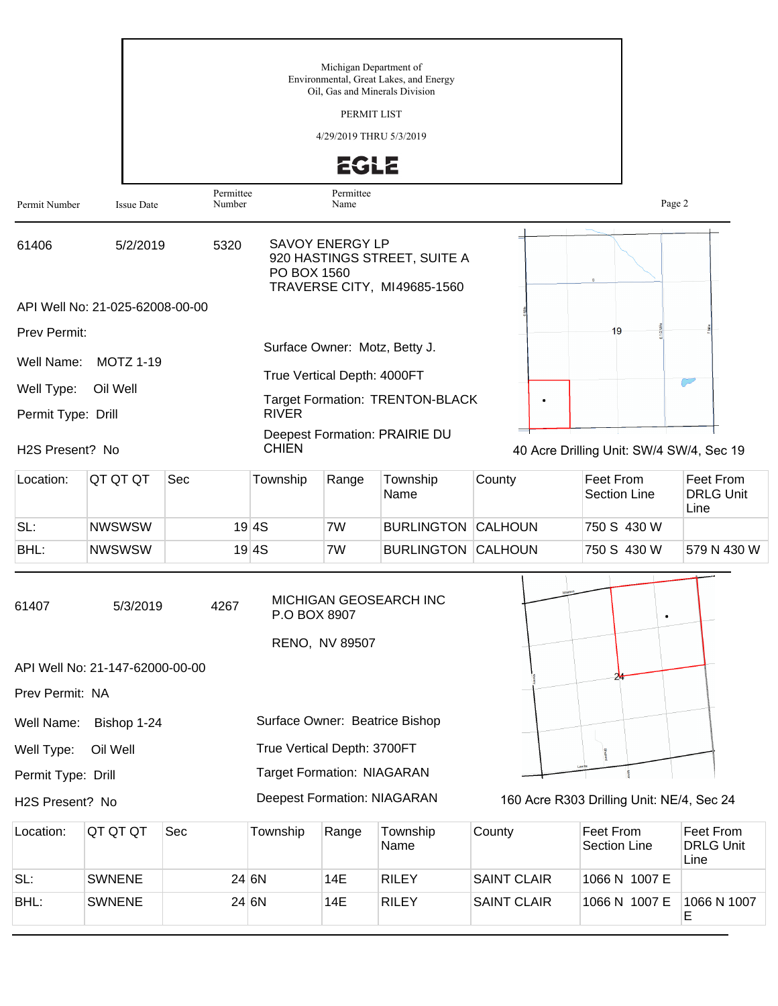|                    |                                 |                     |                                    | Michigan Department of  | Environmental, Great Lakes, and Energy<br>Oil, Gas and Minerals Division |                    |                                           |                                       |
|--------------------|---------------------------------|---------------------|------------------------------------|-------------------------|--------------------------------------------------------------------------|--------------------|-------------------------------------------|---------------------------------------|
|                    |                                 |                     |                                    | PERMIT LIST             |                                                                          |                    |                                           |                                       |
|                    |                                 |                     |                                    | 4/29/2019 THRU 5/3/2019 |                                                                          |                    |                                           |                                       |
|                    |                                 |                     |                                    | <b>EGLE</b>             |                                                                          |                    |                                           |                                       |
| Permit Number      | <b>Issue Date</b>               | Permittee<br>Number |                                    | Permittee<br>Name       |                                                                          |                    | Page 2                                    |                                       |
| 61406              | 5/2/2019                        | 5320                | PO BOX 1560                        | <b>SAVOY ENERGY LP</b>  | 920 HASTINGS STREET, SUITE A<br>TRAVERSE CITY, MI49685-1560              |                    |                                           |                                       |
|                    | API Well No: 21-025-62008-00-00 |                     |                                    |                         |                                                                          |                    |                                           |                                       |
| Prev Permit:       |                                 |                     |                                    |                         |                                                                          |                    | 19                                        |                                       |
| Well Name:         | <b>MOTZ 1-19</b>                |                     |                                    |                         | Surface Owner: Motz, Betty J.                                            |                    |                                           |                                       |
| Well Type:         | Oil Well                        |                     | True Vertical Depth: 4000FT        |                         |                                                                          |                    |                                           |                                       |
| Permit Type: Drill |                                 |                     | <b>RIVER</b>                       |                         | <b>Target Formation: TRENTON-BLACK</b>                                   | ٠                  |                                           |                                       |
| H2S Present? No    |                                 |                     | <b>CHIEN</b>                       |                         | Deepest Formation: PRAIRIE DU                                            |                    | 40 Acre Drilling Unit: SW/4 SW/4, Sec 19  |                                       |
|                    |                                 |                     |                                    |                         |                                                                          |                    |                                           |                                       |
| Location:          | QT QT QT                        | Sec                 | Township                           | Range                   | Township<br>Name                                                         | County             | Feet From<br><b>Section Line</b>          | Feet From<br><b>DRLG Unit</b><br>Line |
| SL:                | <b>NWSWSW</b>                   |                     | 19 4S                              | 7W                      | <b>BURLINGTON CALHOUN</b>                                                |                    | 750 S 430 W                               |                                       |
| BHL:               | <b>NWSWSW</b>                   |                     | 19 4S                              | 7W                      | <b>BURLINGTON CALHOUN</b>                                                |                    | 750 S 430 W                               | 579 N 430 W                           |
| 61407              | 5/3/2019                        | 4267                | P.O BOX 8907                       |                         | MICHIGAN GEOSEARCH INC                                                   |                    | $\bullet$                                 |                                       |
|                    | API Well No: 21-147-62000-00-00 |                     |                                    | RENO, NV 89507          |                                                                          |                    |                                           |                                       |
| Prev Permit: NA    |                                 |                     |                                    |                         |                                                                          |                    |                                           |                                       |
| Well Name:         | Bishop 1-24                     |                     |                                    |                         | Surface Owner: Beatrice Bishop                                           |                    |                                           |                                       |
| Well Type:         | Oil Well                        |                     | True Vertical Depth: 3700FT        |                         |                                                                          |                    |                                           |                                       |
| Permit Type: Drill |                                 |                     | <b>Target Formation: NIAGARAN</b>  |                         |                                                                          |                    |                                           |                                       |
| H2S Present? No    |                                 |                     | <b>Deepest Formation: NIAGARAN</b> |                         |                                                                          |                    | 160 Acre R303 Drilling Unit: NE/4, Sec 24 |                                       |
| Location:          | QT QT QT                        | Sec                 | Township                           | Range                   | Township<br>Name                                                         | County             | Feet From<br><b>Section Line</b>          | Feet From<br><b>DRLG Unit</b><br>Line |
| SL:                | <b>SWNENE</b>                   |                     | 24 6N                              | 14E                     | <b>RILEY</b>                                                             | <b>SAINT CLAIR</b> | 1066 N 1007 E                             |                                       |
| BHL:               | <b>SWNENE</b>                   |                     | 24 6N                              | 14E                     | <b>RILEY</b>                                                             | <b>SAINT CLAIR</b> | 1066 N 1007 E                             | 1066 N 1007<br>E                      |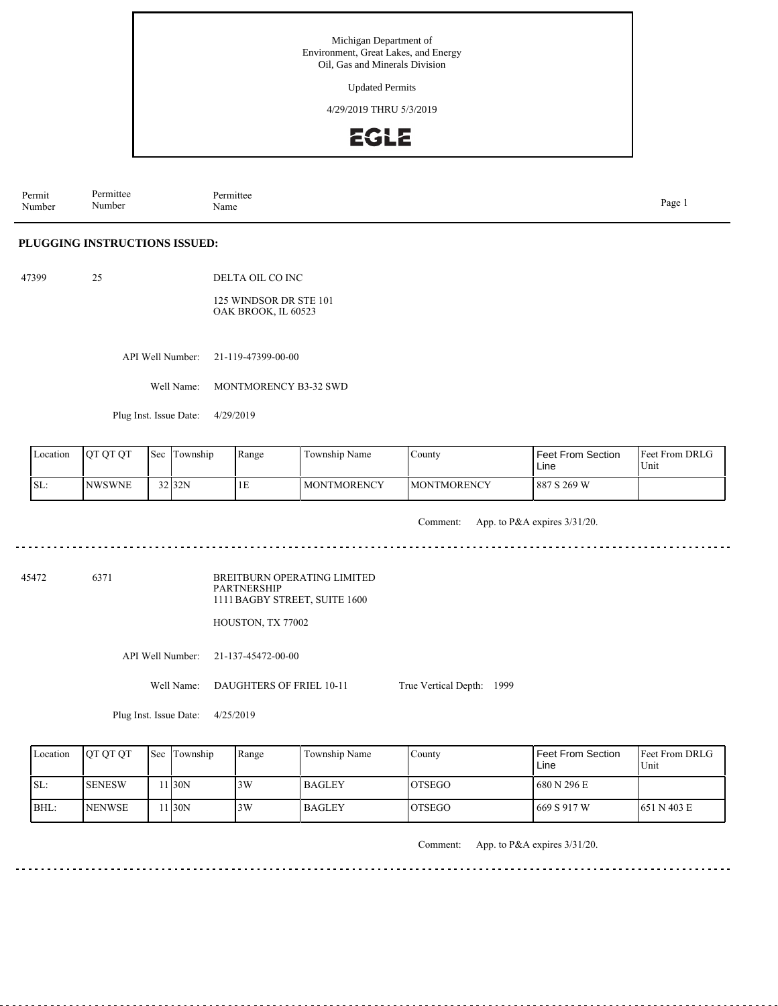Updated Permits

4/29/2019 THRU 5/3/2019



Permit Number Permittee Number Permittee<br>Name Name Page 1

### **PLUGGING INSTRUCTIONS ISSUED:**

47399 25 DELTA OIL CO INC

> 125 WINDSOR DR STE 101 OAK BROOK, IL 60523

> > API Well Number: 21-119-47399-00-00

Well Name: MONTMORENCY B3-32 SWD

Plug Inst. Issue Date: 4/29/2019

| Location         | <b>IOTOTOT</b> | 'Sec | l Township | Range | Township Name      | County              | <b>Feet From Section</b><br>Line | <b>Feet From DRLG</b><br>Unit |
|------------------|----------------|------|------------|-------|--------------------|---------------------|----------------------------------|-------------------------------|
| $\mathsf{ISL}$ : | <b>INWSWNE</b> |      | 32 32N     | ТF    | <b>MONTMORENCY</b> | <b>IMONTMORENCY</b> | 887 S 269 W                      |                               |

Comment: App. to P&A expires 3/31/20.

45472 6371

BREITBURN OPERATING LIMITED PARTNERSHIP 1111 BAGBY STREET, SUITE 1600

HOUSTON, TX 77002

API Well Number: 21-137-45472-00-00

Well Name: DAUGHTERS OF FRIEL 10-11 True Vertical Depth: 1999

Plug Inst. Issue Date: 4/25/2019

| Location | <b>IOT OT OT</b> | <b>Sec Township</b> | Range | Township Name | Countv         | Feet From Section<br>Line | <b>IFeet From DRLG</b><br>Unit |
|----------|------------------|---------------------|-------|---------------|----------------|---------------------------|--------------------------------|
| ISL:     | <b>SENESW</b>    | 1130N               | 3W    | <b>BAGLEY</b> | <b>IOTSEGO</b> | 680 N 296 E               |                                |
| BHL:     | <b>NENWSE</b>    | 1130N               | 3W    | <b>BAGLEY</b> | <b>IOTSEGO</b> | 669 S 917 W               | 1651 N 403 E                   |

Comment: App. to P&A expires 3/31/20.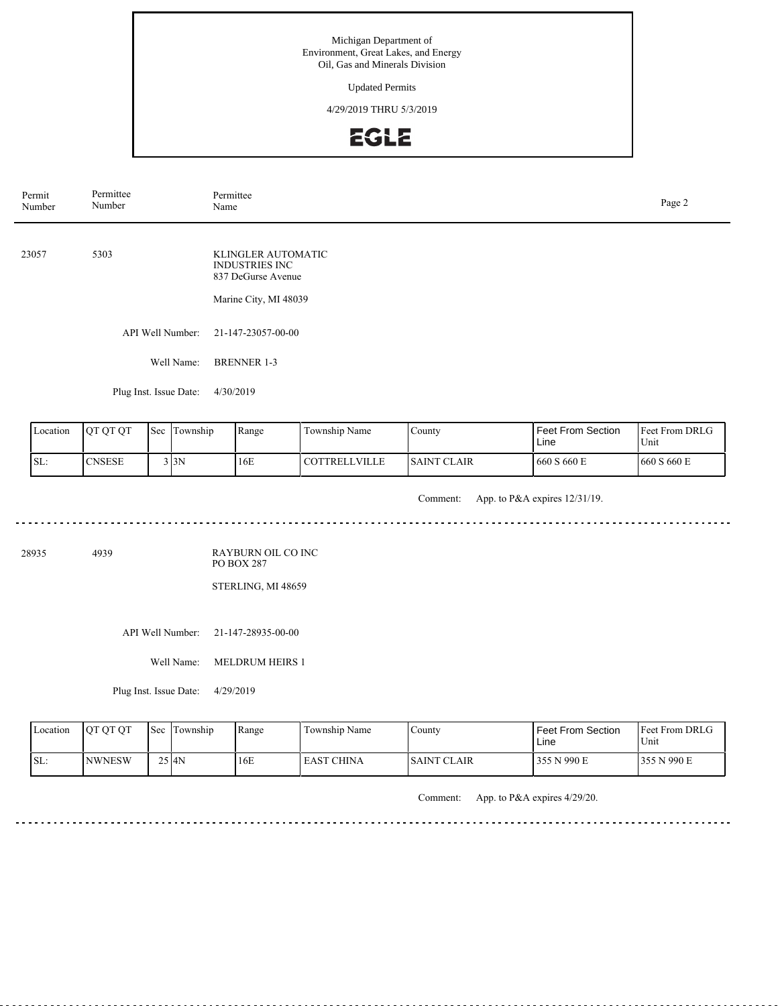Updated Permits

4/29/2019 THRU 5/3/2019



| Permit<br>Number | Permittee<br>Number    | Permittee<br>Name                                                                          | Page 2 |
|------------------|------------------------|--------------------------------------------------------------------------------------------|--------|
| 23057            | 5303                   | KLINGLER AUTOMATIC<br><b>INDUSTRIES INC</b><br>837 DeGurse Avenue<br>Marine City, MI 48039 |        |
|                  | API Well Number:       | 21-147-23057-00-00                                                                         |        |
|                  | Well Name:             | <b>BRENNER 1-3</b>                                                                         |        |
|                  | Plug Inst. Issue Date: | 4/30/2019                                                                                  |        |

| Location | <b>IOT OT OT</b> | $\mathsf{I}\mathsf{Sec}$ | Township | Range | Township Name    | County              | <b>Feet From Section</b><br>Line | Feet From DRLG<br>Unit |
|----------|------------------|--------------------------|----------|-------|------------------|---------------------|----------------------------------|------------------------|
| ISL:     | <b>CNSESE</b>    |                          | 3 I 3 N  | 16E   | l cottrell ville | <b>ISAINT CLAIR</b> | 660 S 660 E                      | 1660 S 660 E           |

Comment: App. to P&A expires 12/31/19.

28935 4939

RAYBURN OIL CO INC PO BOX 287

STERLING, MI 48659

API Well Number: 21-147-28935-00-00

Well Name: MELDRUM HEIRS 1

Plug Inst. Issue Date: 4/29/2019

. . . . . . . . . . . . . . . . . .

| Location | <b>OT OT OT</b> | <b>Sec Township</b> | Range | Township Name     | $\sqrt{\text{0}}$   | Feet From Section<br>Line | <b>Feet From DRLG</b><br>Unit |
|----------|-----------------|---------------------|-------|-------------------|---------------------|---------------------------|-------------------------------|
| SL:      | <b>INWNESW</b>  | $25$ $AN$           | 16E   | <b>EAST CHINA</b> | <b>ISAINT CLAIR</b> | 355 N 990 E               | 355 N 990 E                   |

Comment: App. to P&A expires 4/29/20.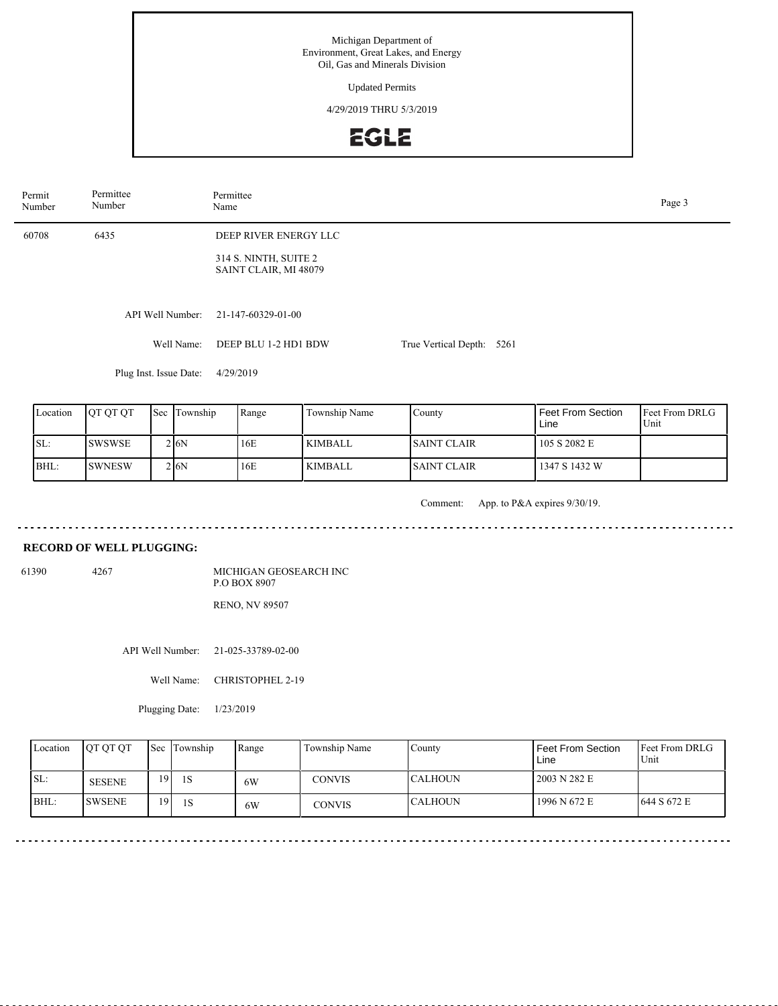Updated Permits

4/29/2019 THRU 5/3/2019

# EGLE

| Permit<br>Number | Permittee<br>Number    | Permittee<br>Name                              |                           |  |  |  |  |  |  |
|------------------|------------------------|------------------------------------------------|---------------------------|--|--|--|--|--|--|
| 60708            | 6435                   | DEEP RIVER ENERGY LLC                          |                           |  |  |  |  |  |  |
|                  |                        | 314 S. NINTH, SUITE 2<br>SAINT CLAIR, MI 48079 |                           |  |  |  |  |  |  |
|                  |                        |                                                |                           |  |  |  |  |  |  |
|                  | API Well Number:       | 21-147-60329-01-00                             |                           |  |  |  |  |  |  |
|                  | Well Name:             | DEEP BLU 1-2 HD1 BDW                           | True Vertical Depth: 5261 |  |  |  |  |  |  |
|                  | Plug Inst. Issue Date: | 4/29/2019                                      |                           |  |  |  |  |  |  |
|                  |                        |                                                |                           |  |  |  |  |  |  |

| Location | <b>OT OT OT</b> | Sec Township | Range | Township Name  | County              | <b>Feet From Section</b><br>Line | <b>IFeet From DRLG</b><br>Unit |
|----------|-----------------|--------------|-------|----------------|---------------------|----------------------------------|--------------------------------|
| ISL:     | <b>ISWSWSE</b>  | 2 6N         | 16E   | <b>KIMBALL</b> | <b>ISAINT CLAIR</b> | 105 S 2082 E                     |                                |
| BHL:     | <b>ISWNESW</b>  | 2 I6N        | 16E   | <b>KIMBALL</b> | <b>ISAINT CLAIR</b> | 1347 S 1432 W                    |                                |

Comment: App. to P&A expires 9/30/19.

 $- - - - - - -$ 

 $\sim$   $\sim$ 

 $- - -$ 

## **RECORD OF WELL PLUGGING:**

61390 4267

MICHIGAN GEOSEARCH INC P.O BOX 8907 RENO, NV 89507

API Well Number: 21-025-33789-02-00

Well Name: CHRISTOPHEL 2-19

Plugging Date:  $1/23/2019$ 

| Location | <b>IOT OT OT</b> |                 | <b>Sec</b> Township | Range | Township Name | County         | Feet From Section<br>Line | Feet From DRLG<br>Unit |
|----------|------------------|-----------------|---------------------|-------|---------------|----------------|---------------------------|------------------------|
| ISL:     | <b>SESENE</b>    | 19              | 1S                  | 6W    | CONVIS        | <b>CALHOUN</b> | 2003 N 282 E              |                        |
| BHL:     | <b>ISWSENE</b>   | 19 <sub>1</sub> | 1S                  | 6W    | <b>CONVIS</b> | <b>CALHOUN</b> | 1996 N 672 E              | 644 S 672 E            |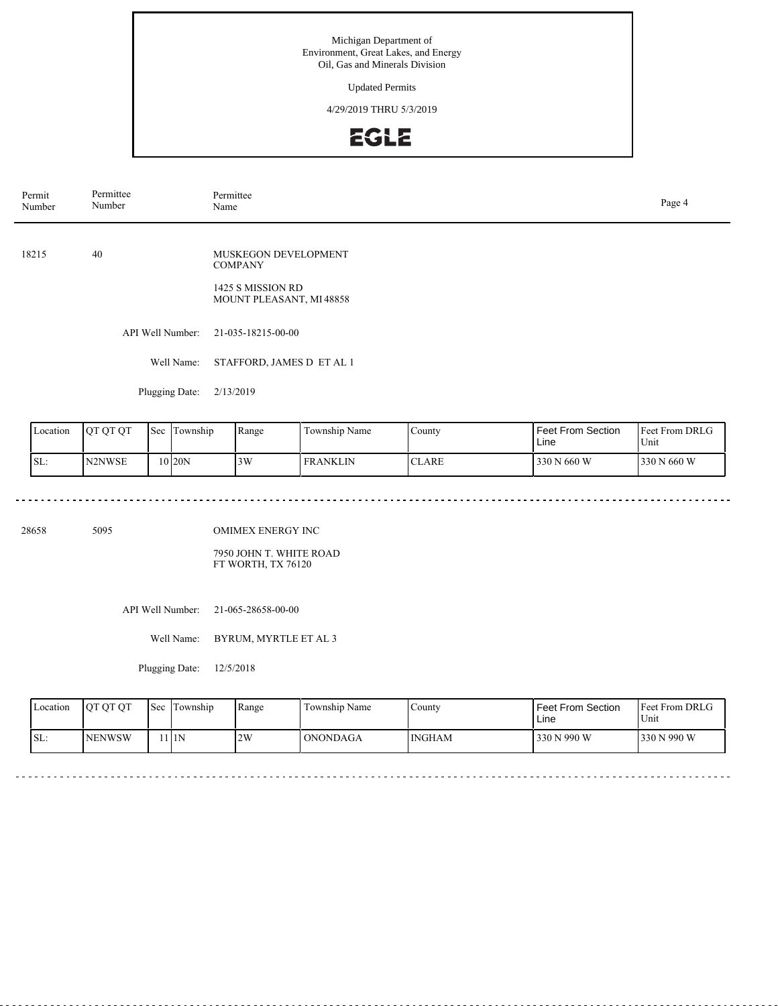Updated Permits

4/29/2019 THRU 5/3/2019

# EGLE

| Permit<br>Number | Permittee<br>Number | Permittee<br>Name                                                                      | Page 4 |
|------------------|---------------------|----------------------------------------------------------------------------------------|--------|
| 18215            | 40                  | MUSKEGON DEVELOPMENT<br><b>COMPANY</b><br>1425 S MISSION RD<br>MOUNT PLEASANT, MI48858 |        |
|                  | API Well Number:    | 21-035-18215-00-00                                                                     |        |
|                  | Well Name:          | STAFFORD, JAMES D ET AL 1                                                              |        |
|                  | Plugging Date:      | 2/13/2019                                                                              |        |

| Location | IOT OT OT | 'Sec | l Township | Range | Township Name   | County                                    | <b>Feet From Section</b><br>Line | <b>Feet From DRLG</b><br>Unit |
|----------|-----------|------|------------|-------|-----------------|-------------------------------------------|----------------------------------|-------------------------------|
| SL:      | N2NWSE    |      | 10 I20N    | 3W    | <b>FRANKLIN</b> | $\mathbf{C}^{\mathbf{T}}$<br><b>CLARE</b> | 330 N 660 W                      | 1330 N 660 W                  |

28658 5095

OMIMEX ENERGY INC

7950 JOHN T. WHITE ROAD FT WORTH, TX 76120

API Well Number: 21-065-28658-00-00

Well Name: BYRUM, MYRTLE ET AL 3

Plugging Date: 12/5/2018

| Location | <b>OT OT OT</b> | <b>Sec</b> | <b>Township</b> | Range | Township Name   | County | Feet From Section<br>Line | <b>Feet From DRLG</b><br>Unit |
|----------|-----------------|------------|-----------------|-------|-----------------|--------|---------------------------|-------------------------------|
| ISL:     | INENWSW         |            | 11N             | 2W    | <b>ONONDAGA</b> | INGHAM | 330 N 990 W               | 330 N 990 W                   |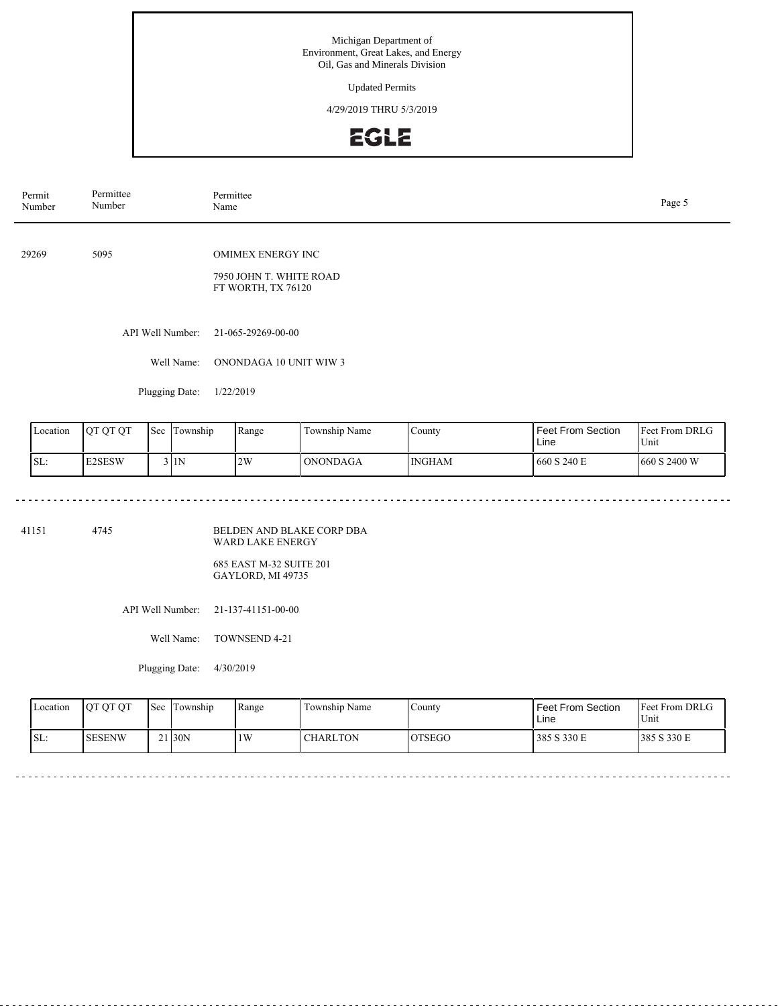Updated Permits

4/29/2019 THRU 5/3/2019



| Permit<br>Number            |               | Permittee<br>Number |     |                  | Permittee<br>Name                                                         |               |        |                                  |                        |  |
|-----------------------------|---------------|---------------------|-----|------------------|---------------------------------------------------------------------------|---------------|--------|----------------------------------|------------------------|--|
|                             | 5095<br>29269 |                     |     |                  | <b>OMIMEX ENERGY INC</b><br>7950 JOHN T. WHITE ROAD<br>FT WORTH, TX 76120 |               |        |                                  |                        |  |
|                             |               |                     |     | API Well Number: | 21-065-29269-00-00                                                        |               |        |                                  |                        |  |
|                             |               |                     |     | Well Name:       | ONONDAGA 10 UNIT WIW 3                                                    |               |        |                                  |                        |  |
| Plugging Date:<br>1/22/2019 |               |                     |     |                  |                                                                           |               |        |                                  |                        |  |
|                             | Location      | QT QT QT            | Sec | Township         | Range                                                                     | Township Name | County | <b>Feet From Section</b><br>Line | Feet From DRLG<br>Unit |  |

| Location | <b>IOT OT OT</b> | Sec | . .<br>Township | Range | $\sim$<br>Township Name | $\sim$<br>County | Feet From Section<br>Line | <b>Feet From DRLG</b><br>Unit |
|----------|------------------|-----|-----------------|-------|-------------------------|------------------|---------------------------|-------------------------------|
| ISL:     | <b>E2SESW</b>    |     | 3 I 1 N         | 2W    | <b>ONONDAGA</b>         | <b>INGHAM</b>    | 660 S 240 E               | 1660 S 2400 W                 |

41151 4745

BELDEN AND BLAKE CORP DBA WARD LAKE ENERGY

685 EAST M-32 SUITE 201 GAYLORD, MI 49735

API Well Number: 21-137-41151-00-00

Well Name: TOWNSEND 4-21

Plugging Date: 4/30/2019

| Location | <b>OT OT OT</b> | <b>Sec</b> | l Township         | Range | Township Name   | County        | Feet From Section<br>∟ine | <b>Feet From DRLG</b><br>Unit |
|----------|-----------------|------------|--------------------|-------|-----------------|---------------|---------------------------|-------------------------------|
| SL:      | <b>ISESENW</b>  |            | 21 <sub>30</sub> N | 1W    | <b>CHARLTON</b> | <b>OTSEGO</b> | 385 S 330 E               | 385 S 330 E                   |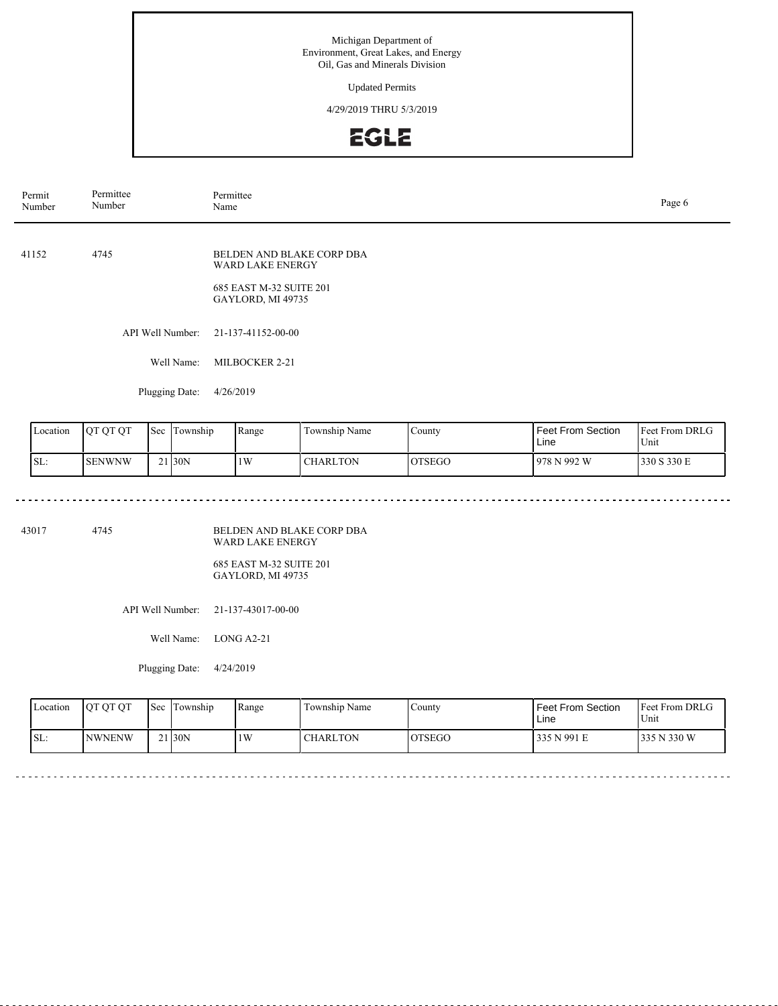Updated Permits

4/29/2019 THRU 5/3/2019



| Permit<br>Number               | Permittee<br>Number      |  |                  | Permittee<br>Name                                                                                    |                 |               |                                  |                        |  |
|--------------------------------|--------------------------|--|------------------|------------------------------------------------------------------------------------------------------|-----------------|---------------|----------------------------------|------------------------|--|
| 41152                          | 4745                     |  |                  | BELDEN AND BLAKE CORP DBA<br><b>WARD LAKE ENERGY</b><br>685 EAST M-32 SUITE 201<br>GAYLORD, MI 49735 |                 |               |                                  |                        |  |
|                                |                          |  | API Well Number: | 21-137-41152-00-00                                                                                   |                 |               |                                  |                        |  |
|                                |                          |  | Well Name:       | MILBOCKER 2-21                                                                                       |                 |               |                                  |                        |  |
|                                |                          |  | Plugging Date:   | 4/26/2019                                                                                            |                 |               |                                  |                        |  |
| Location                       | QT QT QT<br>Sec Township |  |                  | Range                                                                                                | Township Name   | County        | <b>Feet From Section</b><br>Line | Feet From DRLG<br>Unit |  |
| 21 30N<br>SL:<br><b>SENWNW</b> |                          |  |                  | 1W                                                                                                   | <b>CHARLTON</b> | <b>OTSEGO</b> | 978 N 992 W                      | 330 S 330 E            |  |

43017 4745

BELDEN AND BLAKE CORP DBA WARD LAKE ENERGY

685 EAST M-32 SUITE 201 GAYLORD, MI 49735

API Well Number: 21-137-43017-00-00

Well Name: LONG A2-21

Plugging Date: 4/24/2019

| Location | <b>OT OT OT</b> | Sec | Township           | Range | Township Name | ∵ountv        | l Feet From Section<br>Line | <b>Feet From DRLG</b><br>Unit |
|----------|-----------------|-----|--------------------|-------|---------------|---------------|-----------------------------|-------------------------------|
| SL:      | <b>INWNENW</b>  |     | 21 <sub>30</sub> N | 1W    | CHARLTON      | <b>OTSEGO</b> | 335 N 991 E                 | 335 N 330 W                   |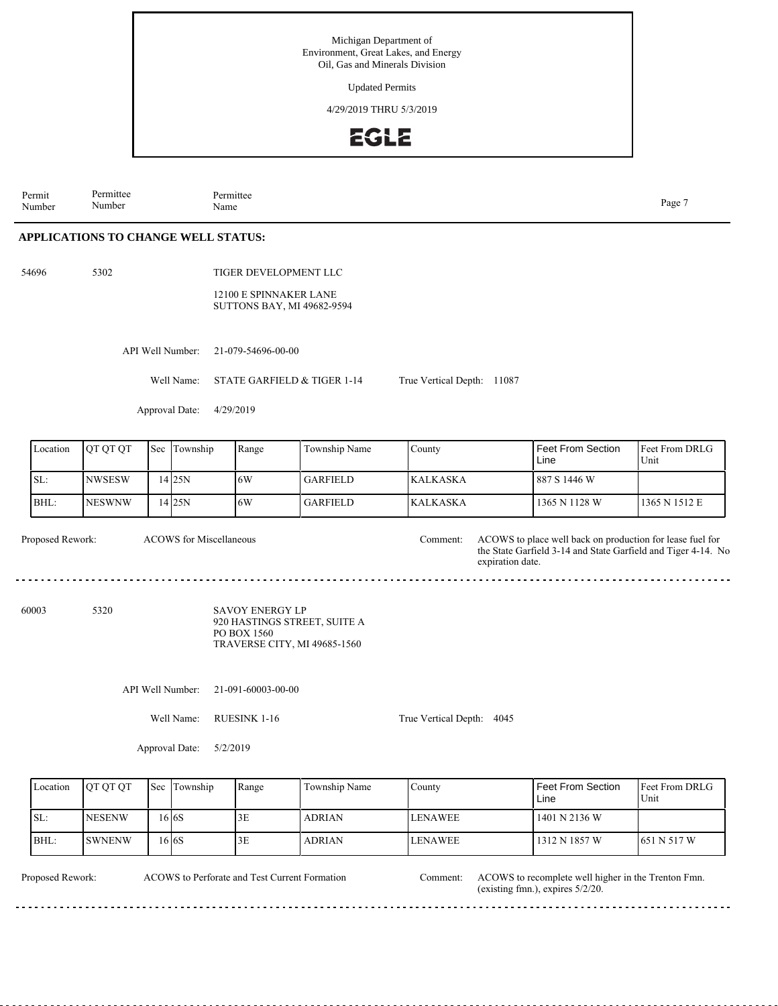Updated Permits

4/29/2019 THRU 5/3/2019



Permit Number Permittee Number

Name Page 7

<u>. . . . . . . . . . . . .</u>

. . . . .

### **APPLICATIONS TO CHANGE WELL STATUS:**

54696 5302

TIGER DEVELOPMENT LLC 12100 E SPINNAKER LANE SUTTONS BAY, MI 49682-9594

API Well Number: 21-079-54696-00-00

Permittee<br>Name

Well Name: STATE GARFIELD & TIGER 1-14

Approval Date: 4/29/2019

| Location | <b>IOT OT OT</b> | <b>Sec</b> Township | l Range | Township Name | County           | Feet From Section<br>Line | <b>Feet From DRLG</b><br>Unit |
|----------|------------------|---------------------|---------|---------------|------------------|---------------------------|-------------------------------|
| ISL:     | INWSESW          | 14 I 25 N           | 16W     | l GARFIELD.   | <b>IKALKASKA</b> | l 887 S 1446 W            |                               |
| BHL:     | <b>INESWNW</b>   | 14 I 25 N           | 16W     | l GARFIELD.   | <b>KALKASKA</b>  | 1365 N 1128 W             | 11365 N 1512 E                |

ACOWS for Miscellaneous

Proposed Rework: ACOWS to place well back on production for lease fuel for the State Garfield 3-14 and State Garfield and Tiger 4-14. No expiration date. Comment:

60003 5320

SAVOY ENERGY LP 920 HASTINGS STREET, SUITE A PO BOX 1560 TRAVERSE CITY, MI 49685-1560

API Well Number: 21-091-60003-00-00

Well Name: RUESINK 1-16

True Vertical Depth: 4045

True Vertical Depth: 11087

Approval Date: 5/2/2019

| Location | <b>OT OT OT</b> | <b>Sec Township</b> | Range | Township Name | County          | Feet From Section<br>Line | <b>Feet From DRLG</b><br>Unit |
|----------|-----------------|---------------------|-------|---------------|-----------------|---------------------------|-------------------------------|
| ISL:     | <b>NESENW</b>   | .6 6S               | 3E    | <b>ADRIAN</b> | <b>LENAWEE</b>  | 1401 N 2136 W             |                               |
| BHL:     | <b>SWNENW</b>   | .6 6S               | 3E    | <b>ADRIAN</b> | <b>ILENAWEE</b> | 1312 N 1857 W             | 1651 N 517 W                  |

ACOWS to Perforate and Test Current Formation

Proposed Rework: ACOWS to recomplete well higher in the Trenton Fmn. (existing fmn.), expires 5/2/20. Comment: